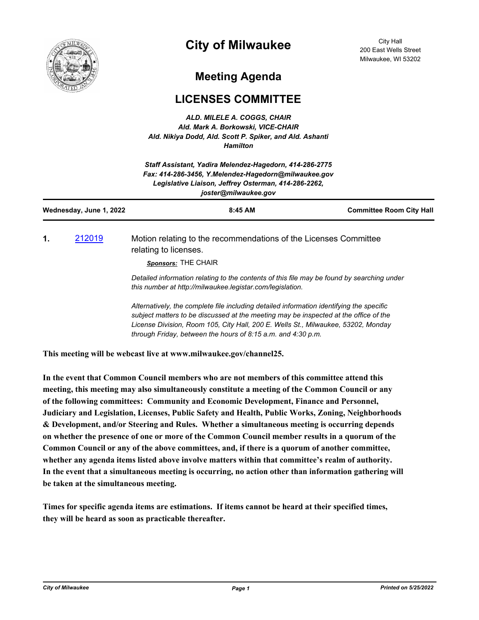

## **City of Milwaukee**

City Hall 200 East Wells Street Milwaukee, WI 53202

## **Meeting Agenda**

## **LICENSES COMMITTEE**

*ALD. MILELE A. COGGS, CHAIR Ald. Mark A. Borkowski, VICE-CHAIR Ald. Nikiya Dodd, Ald. Scott P. Spiker, and Ald. Ashanti Hamilton*

| Staff Assistant, Yadira Melendez-Hagedorn, 414-286-2775<br>Fax: 414-286-3456, Y.Melendez-Hagedorn@milwaukee.gov<br>Legislative Liaison, Jeffrey Osterman, 414-286-2262,<br>joster@milwaukee.gov |        |                                                                                                                                                                                                                                                                       |                                 |
|-------------------------------------------------------------------------------------------------------------------------------------------------------------------------------------------------|--------|-----------------------------------------------------------------------------------------------------------------------------------------------------------------------------------------------------------------------------------------------------------------------|---------------------------------|
| Wednesday, June 1, 2022                                                                                                                                                                         |        | 8:45 AM                                                                                                                                                                                                                                                               | <b>Committee Room City Hall</b> |
| 1.                                                                                                                                                                                              | 212019 | Motion relating to the recommendations of the Licenses Committee<br>relating to licenses.<br>Sponsors: THE CHAIR                                                                                                                                                      |                                 |
|                                                                                                                                                                                                 |        | Detailed information relating to the contents of this file may be found by searching under<br>this number at http://milwaukee.legistar.com/legislation.                                                                                                               |                                 |
|                                                                                                                                                                                                 |        | Alternatively, the complete file including detailed information identifying the specific<br>subject matters to be discussed at the meeting may be inspected at the office of the<br>License Division, Room 105, City Hall, 200 E. Wells St., Milwaukee, 53202, Monday |                                 |

**This meeting will be webcast live at www.milwaukee.gov/channel25.**

**In the event that Common Council members who are not members of this committee attend this meeting, this meeting may also simultaneously constitute a meeting of the Common Council or any of the following committees: Community and Economic Development, Finance and Personnel, Judiciary and Legislation, Licenses, Public Safety and Health, Public Works, Zoning, Neighborhoods & Development, and/or Steering and Rules. Whether a simultaneous meeting is occurring depends on whether the presence of one or more of the Common Council member results in a quorum of the Common Council or any of the above committees, and, if there is a quorum of another committee, whether any agenda items listed above involve matters within that committee's realm of authority. In the event that a simultaneous meeting is occurring, no action other than information gathering will be taken at the simultaneous meeting.**

*through Friday, between the hours of 8:15 a.m. and 4:30 p.m.*

**Times for specific agenda items are estimations. If items cannot be heard at their specified times, they will be heard as soon as practicable thereafter.**